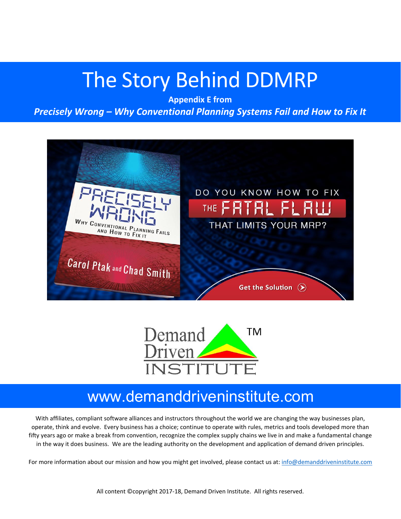# The Story Behind DDMRP

**Appendix E from**

*Precisely Wrong – Why Conventional Planning Systems Fail and How to Fix It*





### www.demanddriveninstitute.com

With affiliates, compliant software alliances and instructors throughout the world we are changing the way businesses plan, operate, think and evolve. Every business has a choice; continue to operate with rules, metrics and tools developed more than fifty years ago or make a break from convention, recognize the complex supply chains we live in and make a fundamental change in the way it does business. We are the leading authority on the development and application of demand driven principles.

For more information about our mission and how you might get involved, please contact us at: info@demanddriveninstitute.com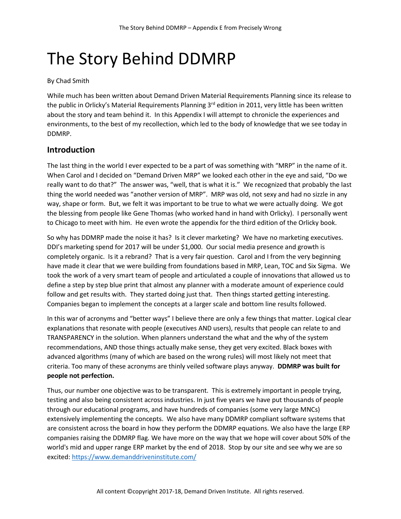## The Story Behind DDMRP

#### By Chad Smith

While much has been written about Demand Driven Material Requirements Planning since its release to the public in Orlicky's Material Requirements Planning  $3<sup>rd</sup>$  edition in 2011, very little has been written about the story and team behind it. In this Appendix I will attempt to chronicle the experiences and environments, to the best of my recollection, which led to the body of knowledge that we see today in DDMRP.

#### **Introduction**

The last thing in the world I ever expected to be a part of was something with "MRP" in the name of it. When Carol and I decided on "Demand Driven MRP" we looked each other in the eye and said, "Do we really want to do that?" The answer was, "well, that is what it is." We recognized that probably the last thing the world needed was "another version of MRP". MRP was old, not sexy and had no sizzle in any way, shape or form. But, we felt it was important to be true to what we were actually doing. We got the blessing from people like Gene Thomas (who worked hand in hand with Orlicky). I personally went to Chicago to meet with him. He even wrote the appendix for the third edition of the Orlicky book.

So why has DDMRP made the noise it has? Is it clever marketing? We have no marketing executives. DDI's marketing spend for 2017 will be under \$1,000. Our social media presence and growth is completely organic. Is it a rebrand? That is a very fair question. Carol and I from the very beginning have made it clear that we were building from foundations based in MRP, Lean, TOC and Six Sigma. We took the work of a very smart team of people and articulated a couple of innovations that allowed us to define a step by step blue print that almost any planner with a moderate amount of experience could follow and get results with. They started doing just that. Then things started getting interesting. Companies began to implement the concepts at a larger scale and bottom line results followed.

In this war of acronyms and "better ways" I believe there are only a few things that matter. Logical clear explanations that resonate with people (executives AND users), results that people can relate to and TRANSPARENCY in the solution. When planners understand the what and the why of the system recommendations, AND those things actually make sense, they get very excited. Black boxes with advanced algorithms (many of which are based on the wrong rules) will most likely not meet that criteria. Too many of these acronyms are thinly veiled software plays anyway. **DDMRP was built for people not perfection.**

Thus, our number one objective was to be transparent. This is extremely important in people trying, testing and also being consistent across industries. In just five years we have put thousands of people through our educational programs, and have hundreds of companies (some very large MNCs) extensively implementing the concepts. We also have many DDMRP compliant software systems that are consistent across the board in how they perform the DDMRP equations. We also have the large ERP companies raising the DDMRP flag. We have more on the way that we hope will cover about 50% of the world's mid and upper range ERP market by the end of 2018. Stop by our site and see why we are so excited: https://www.demanddriveninstitute.com/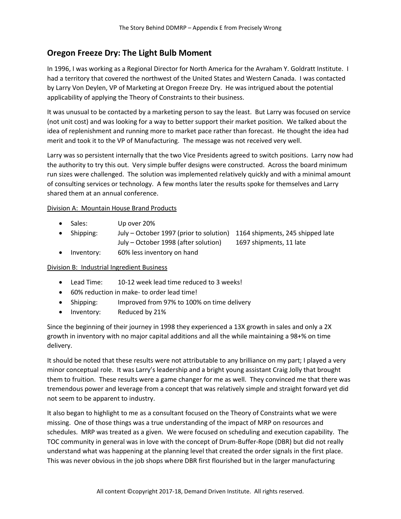#### **Oregon Freeze Dry: The Light Bulb Moment**

In 1996, I was working as a Regional Director for North America for the Avraham Y. Goldratt Institute. I had a territory that covered the northwest of the United States and Western Canada. I was contacted by Larry Von Deylen, VP of Marketing at Oregon Freeze Dry. He was intrigued about the potential applicability of applying the Theory of Constraints to their business.

It was unusual to be contacted by a marketing person to say the least. But Larry was focused on service (not unit cost) and was looking for a way to better support their market position. We talked about the idea of replenishment and running more to market pace rather than forecast. He thought the idea had merit and took it to the VP of Manufacturing. The message was not received very well.

Larry was so persistent internally that the two Vice Presidents agreed to switch positions. Larry now had the authority to try this out. Very simple buffer designs were constructed. Across the board minimum run sizes were challenged. The solution was implemented relatively quickly and with a minimal amount of consulting services or technology. A few months later the results spoke for themselves and Larry shared them at an annual conference.

#### Division A: Mountain House Brand Products

- Sales: Up over 20%
- Shipping: July October 1997 (prior to solution) 1164 shipments, 245 shipped late July – October 1998 (after solution) 1697 shipments, 11 late
- Inventory: 60% less inventory on hand

#### Division B: Industrial Ingredient Business

- Lead Time: 10-12 week lead time reduced to 3 weeks!
- 60% reduction in make- to order lead time!
- Shipping: Improved from 97% to 100% on time delivery
- Inventory: Reduced by 21%

Since the beginning of their journey in 1998 they experienced a 13X growth in sales and only a 2X growth in inventory with no major capital additions and all the while maintaining a 98+% on time delivery.

It should be noted that these results were not attributable to any brilliance on my part; I played a very minor conceptual role. It was Larry's leadership and a bright young assistant Craig Jolly that brought them to fruition. These results were a game changer for me as well. They convinced me that there was tremendous power and leverage from a concept that was relatively simple and straight forward yet did not seem to be apparent to industry.

It also began to highlight to me as a consultant focused on the Theory of Constraints what we were missing. One of those things was a true understanding of the impact of MRP on resources and schedules. MRP was treated as a given. We were focused on scheduling and execution capability. The TOC community in general was in love with the concept of Drum-Buffer-Rope (DBR) but did not really understand what was happening at the planning level that created the order signals in the first place. This was never obvious in the job shops where DBR first flourished but in the larger manufacturing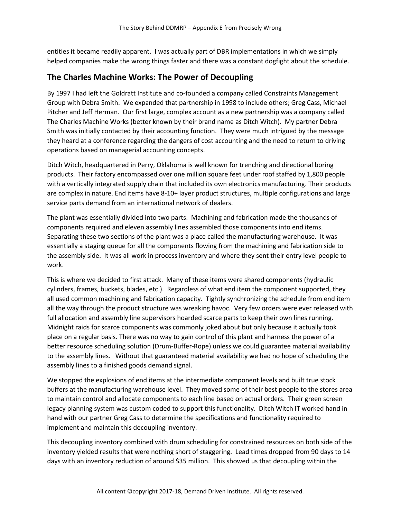entities it became readily apparent. I was actually part of DBR implementations in which we simply helped companies make the wrong things faster and there was a constant dogfight about the schedule.

#### **The Charles Machine Works: The Power of Decoupling**

By 1997 I had left the Goldratt Institute and co-founded a company called Constraints Management Group with Debra Smith. We expanded that partnership in 1998 to include others; Greg Cass, Michael Pitcher and Jeff Herman. Our first large, complex account as a new partnership was a company called The Charles Machine Works (better known by their brand name as Ditch Witch). My partner Debra Smith was initially contacted by their accounting function. They were much intrigued by the message they heard at a conference regarding the dangers of cost accounting and the need to return to driving operations based on managerial accounting concepts.

Ditch Witch, headquartered in Perry, Oklahoma is well known for trenching and directional boring products. Their factory encompassed over one million square feet under roof staffed by 1,800 people with a vertically integrated supply chain that included its own electronics manufacturing. Their products are complex in nature. End items have 8-10+ layer product structures, multiple configurations and large service parts demand from an international network of dealers.

The plant was essentially divided into two parts. Machining and fabrication made the thousands of components required and eleven assembly lines assembled those components into end items. Separating these two sections of the plant was a place called the manufacturing warehouse. It was essentially a staging queue for all the components flowing from the machining and fabrication side to the assembly side. It was all work in process inventory and where they sent their entry level people to work.

This is where we decided to first attack. Many of these items were shared components (hydraulic cylinders, frames, buckets, blades, etc.). Regardless of what end item the component supported, they all used common machining and fabrication capacity. Tightly synchronizing the schedule from end item all the way through the product structure was wreaking havoc. Very few orders were ever released with full allocation and assembly line supervisors hoarded scarce parts to keep their own lines running. Midnight raids for scarce components was commonly joked about but only because it actually took place on a regular basis. There was no way to gain control of this plant and harness the power of a better resource scheduling solution (Drum-Buffer-Rope) unless we could guarantee material availability to the assembly lines. Without that guaranteed material availability we had no hope of scheduling the assembly lines to a finished goods demand signal.

We stopped the explosions of end items at the intermediate component levels and built true stock buffers at the manufacturing warehouse level. They moved some of their best people to the stores area to maintain control and allocate components to each line based on actual orders. Their green screen legacy planning system was custom coded to support this functionality. Ditch Witch IT worked hand in hand with our partner Greg Cass to determine the specifications and functionality required to implement and maintain this decoupling inventory.

This decoupling inventory combined with drum scheduling for constrained resources on both side of the inventory yielded results that were nothing short of staggering. Lead times dropped from 90 days to 14 days with an inventory reduction of around \$35 million. This showed us that decoupling within the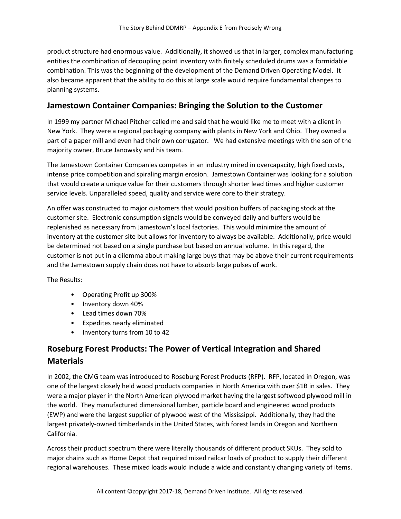product structure had enormous value. Additionally, it showed us that in larger, complex manufacturing entities the combination of decoupling point inventory with finitely scheduled drums was a formidable combination. This was the beginning of the development of the Demand Driven Operating Model. It also became apparent that the ability to do this at large scale would require fundamental changes to planning systems.

#### **Jamestown Container Companies: Bringing the Solution to the Customer**

In 1999 my partner Michael Pitcher called me and said that he would like me to meet with a client in New York. They were a regional packaging company with plants in New York and Ohio. They owned a part of a paper mill and even had their own corrugator. We had extensive meetings with the son of the majority owner, Bruce Janowsky and his team.

The Jamestown Container Companies competes in an industry mired in overcapacity, high fixed costs, intense price competition and spiraling margin erosion. Jamestown Container was looking for a solution that would create a unique value for their customers through shorter lead times and higher customer service levels. Unparalleled speed, quality and service were core to their strategy.

An offer was constructed to major customers that would position buffers of packaging stock at the customer site. Electronic consumption signals would be conveyed daily and buffers would be replenished as necessary from Jamestown's local factories. This would minimize the amount of inventory at the customer site but allows for inventory to always be available. Additionally, price would be determined not based on a single purchase but based on annual volume. In this regard, the customer is not put in a dilemma about making large buys that may be above their current requirements and the Jamestown supply chain does not have to absorb large pulses of work.

The Results:

- Operating Profit up 300%
- Inventory down 40%
- Lead times down 70%
- Expedites nearly eliminated
- Inventory turns from 10 to 42

#### **Roseburg Forest Products: The Power of Vertical Integration and Shared Materials**

In 2002, the CMG team was introduced to Roseburg Forest Products (RFP). RFP, located in Oregon, was one of the largest closely held wood products companies in North America with over \$1B in sales. They were a major player in the North American plywood market having the largest softwood plywood mill in the world. They manufactured dimensional lumber, particle board and engineered wood products (EWP) and were the largest supplier of plywood west of the Mississippi. Additionally, they had the largest privately-owned timberlands in the United States, with forest lands in Oregon and Northern California.

Across their product spectrum there were literally thousands of different product SKUs. They sold to major chains such as Home Depot that required mixed railcar loads of product to supply their different regional warehouses. These mixed loads would include a wide and constantly changing variety of items.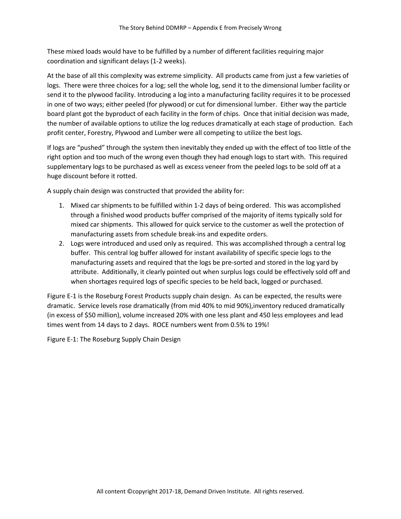These mixed loads would have to be fulfilled by a number of different facilities requiring major coordination and significant delays (1-2 weeks).

At the base of all this complexity was extreme simplicity. All products came from just a few varieties of logs. There were three choices for a log; sell the whole log, send it to the dimensional lumber facility or send it to the plywood facility. Introducing a log into a manufacturing facility requires it to be processed in one of two ways; either peeled (for plywood) or cut for dimensional lumber. Either way the particle board plant got the byproduct of each facility in the form of chips. Once that initial decision was made, the number of available options to utilize the log reduces dramatically at each stage of production. Each profit center, Forestry, Plywood and Lumber were all competing to utilize the best logs.

If logs are "pushed" through the system then inevitably they ended up with the effect of too little of the right option and too much of the wrong even though they had enough logs to start with. This required supplementary logs to be purchased as well as excess veneer from the peeled logs to be sold off at a huge discount before it rotted.

A supply chain design was constructed that provided the ability for:

- 1. Mixed car shipments to be fulfilled within 1-2 days of being ordered. This was accomplished through a finished wood products buffer comprised of the majority of items typically sold for mixed car shipments. This allowed for quick service to the customer as well the protection of manufacturing assets from schedule break-ins and expedite orders.
- 2. Logs were introduced and used only as required. This was accomplished through a central log buffer. This central log buffer allowed for instant availability of specific specie logs to the manufacturing assets and required that the logs be pre-sorted and stored in the log yard by attribute. Additionally, it clearly pointed out when surplus logs could be effectively sold off and when shortages required logs of specific species to be held back, logged or purchased.

Figure E-1 is the Roseburg Forest Products supply chain design. As can be expected, the results were dramatic. Service levels rose dramatically (from mid 40% to mid 90%),inventory reduced dramatically (in excess of \$50 million), volume increased 20% with one less plant and 450 less employees and lead times went from 14 days to 2 days. ROCE numbers went from 0.5% to 19%!

Figure E-1: The Roseburg Supply Chain Design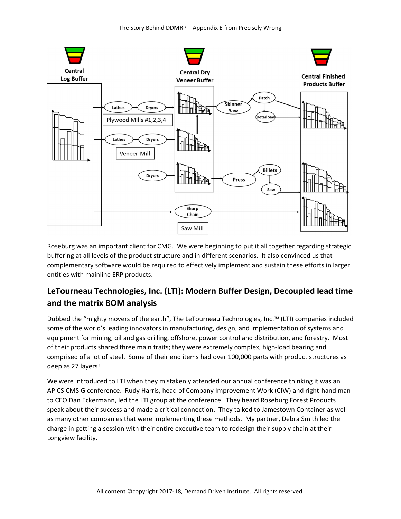

Roseburg was an important client for CMG. We were beginning to put it all together regarding strategic buffering at all levels of the product structure and in different scenarios. It also convinced us that complementary software would be required to effectively implement and sustain these efforts in larger entities with mainline ERP products.

#### **LeTourneau Technologies, Inc. (LTI): Modern Buffer Design, Decoupled lead time and the matrix BOM analysis**

Dubbed the "mighty movers of the earth", The LeTourneau Technologies, Inc.™ (LTI) companies included some of the world's leading innovators in manufacturing, design, and implementation of systems and equipment for mining, oil and gas drilling, offshore, power control and distribution, and forestry. Most of their products shared three main traits; they were extremely complex, high-load bearing and comprised of a lot of steel. Some of their end items had over 100,000 parts with product structures as deep as 27 layers!

We were introduced to LTI when they mistakenly attended our annual conference thinking it was an APICS CMSIG conference. Rudy Harris, head of Company Improvement Work (CIW) and right-hand man to CEO Dan Eckermann, led the LTI group at the conference. They heard Roseburg Forest Products speak about their success and made a critical connection. They talked to Jamestown Container as well as many other companies that were implementing these methods. My partner, Debra Smith led the charge in getting a session with their entire executive team to redesign their supply chain at their Longview facility.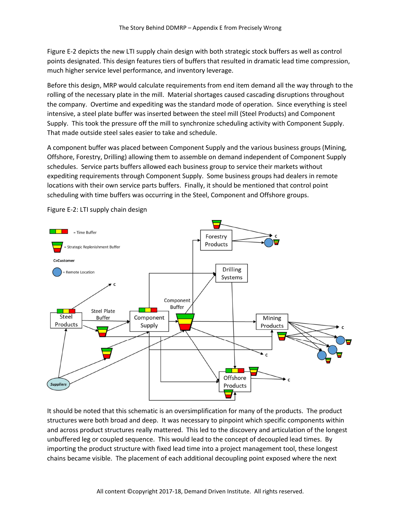Figure E-2 depicts the new LTI supply chain design with both strategic stock buffers as well as control points designated. This design features tiers of buffers that resulted in dramatic lead time compression, much higher service level performance, and inventory leverage.

Before this design, MRP would calculate requirements from end item demand all the way through to the rolling of the necessary plate in the mill. Material shortages caused cascading disruptions throughout the company. Overtime and expediting was the standard mode of operation. Since everything is steel intensive, a steel plate buffer was inserted between the steel mill (Steel Products) and Component Supply. This took the pressure off the mill to synchronize scheduling activity with Component Supply. That made outside steel sales easier to take and schedule.

A component buffer was placed between Component Supply and the various business groups (Mining, Offshore, Forestry, Drilling) allowing them to assemble on demand independent of Component Supply schedules. Service parts buffers allowed each business group to service their markets without expediting requirements through Component Supply. Some business groups had dealers in remote locations with their own service parts buffers. Finally, it should be mentioned that control point scheduling with time buffers was occurring in the Steel, Component and Offshore groups.



Figure E-2: LTI supply chain design

It should be noted that this schematic is an oversimplification for many of the products. The product structures were both broad and deep. It was necessary to pinpoint which specific components within and across product structures really mattered. This led to the discovery and articulation of the longest unbuffered leg or coupled sequence. This would lead to the concept of decoupled lead times. By importing the product structure with fixed lead time into a project management tool, these longest chains became visible. The placement of each additional decoupling point exposed where the next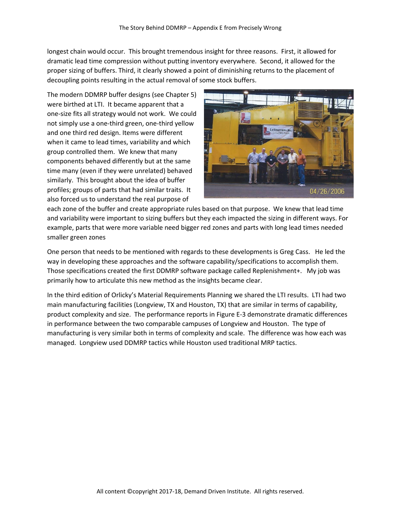longest chain would occur. This brought tremendous insight for three reasons. First, it allowed for dramatic lead time compression without putting inventory everywhere. Second, it allowed for the proper sizing of buffers. Third, it clearly showed a point of diminishing returns to the placement of decoupling points resulting in the actual removal of some stock buffers.

The modern DDMRP buffer designs (see Chapter 5) were birthed at LTI. It became apparent that a one-size fits all strategy would not work. We could not simply use a one-third green, one-third yellow and one third red design. Items were different when it came to lead times, variability and which group controlled them. We knew that many components behaved differently but at the same time many (even if they were unrelated) behaved similarly. This brought about the idea of buffer profiles; groups of parts that had similar traits. It also forced us to understand the real purpose of



each zone of the buffer and create appropriate rules based on that purpose. We knew that lead time and variability were important to sizing buffers but they each impacted the sizing in different ways. For example, parts that were more variable need bigger red zones and parts with long lead times needed smaller green zones

One person that needs to be mentioned with regards to these developments is Greg Cass. He led the way in developing these approaches and the software capability/specifications to accomplish them. Those specifications created the first DDMRP software package called Replenishment+. My job was primarily how to articulate this new method as the insights became clear.

In the third edition of Orlicky's Material Requirements Planning we shared the LTI results. LTI had two main manufacturing facilities (Longview, TX and Houston, TX) that are similar in terms of capability, product complexity and size. The performance reports in Figure E-3 demonstrate dramatic differences in performance between the two comparable campuses of Longview and Houston. The type of manufacturing is very similar both in terms of complexity and scale. The difference was how each was managed. Longview used DDMRP tactics while Houston used traditional MRP tactics.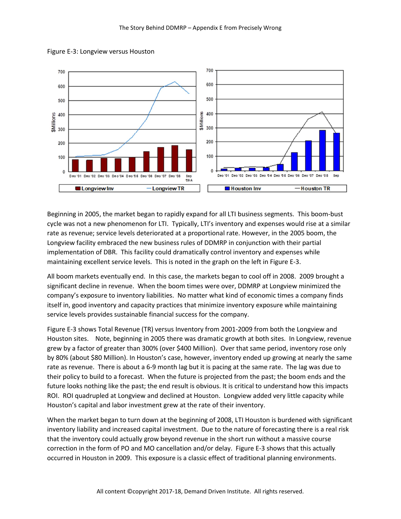

Figure E-3: Longview versus Houston

Beginning in 2005, the market began to rapidly expand for all LTI business segments. This boom-bust cycle was not a new phenomenon for LTI. Typically, LTI's inventory and expenses would rise at a similar rate as revenue; service levels deteriorated at a proportional rate. However, in the 2005 boom, the Longview facility embraced the new business rules of DDMRP in conjunction with their partial implementation of DBR. This facility could dramatically control inventory and expenses while maintaining excellent service levels. This is noted in the graph on the left in Figure E-3.

All boom markets eventually end. In this case, the markets began to cool off in 2008. 2009 brought a significant decline in revenue. When the boom times were over, DDMRP at Longview minimized the company's exposure to inventory liabilities. No matter what kind of economic times a company finds itself in, good inventory and capacity practices that minimize inventory exposure while maintaining service levels provides sustainable financial success for the company.

Figure E-3 shows Total Revenue (TR) versus Inventory from 2001-2009 from both the Longview and Houston sites. Note, beginning in 2005 there was dramatic growth at both sites. In Longview, revenue grew by a factor of greater than 300% (over \$400 Million). Over that same period, inventory rose only by 80% (about \$80 Million). In Houston's case, however, inventory ended up growing at nearly the same rate as revenue. There is about a 6-9 month lag but it is pacing at the same rate. The lag was due to their policy to build to a forecast. When the future is projected from the past; the boom ends and the future looks nothing like the past; the end result is obvious. It is critical to understand how this impacts ROI. ROI quadrupled at Longview and declined at Houston. Longview added very little capacity while Houston's capital and labor investment grew at the rate of their inventory.

When the market began to turn down at the beginning of 2008, LTI Houston is burdened with significant inventory liability and increased capital investment. Due to the nature of forecasting there is a real risk that the inventory could actually grow beyond revenue in the short run without a massive course correction in the form of PO and MO cancellation and/or delay. Figure E-3 shows that this actually occurred in Houston in 2009. This exposure is a classic effect of traditional planning environments.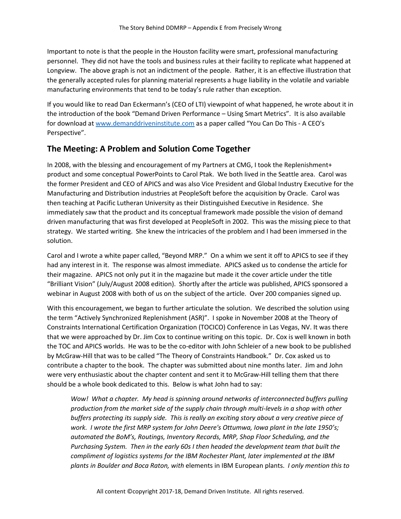Important to note is that the people in the Houston facility were smart, professional manufacturing personnel. They did not have the tools and business rules at their facility to replicate what happened at Longview. The above graph is not an indictment of the people. Rather, it is an effective illustration that the generally accepted rules for planning material represents a huge liability in the volatile and variable manufacturing environments that tend to be today's rule rather than exception.

If you would like to read Dan Eckermann's (CEO of LTI) viewpoint of what happened, he wrote about it in the introduction of the book "Demand Driven Performance – Using Smart Metrics". It is also available for download at www.demanddriveninstitute.com as a paper called "You Can Do This - A CEO's Perspective".

#### **The Meeting: A Problem and Solution Come Together**

In 2008, with the blessing and encouragement of my Partners at CMG, I took the Replenishment+ product and some conceptual PowerPoints to Carol Ptak. We both lived in the Seattle area. Carol was the former President and CEO of APICS and was also Vice President and Global Industry Executive for the Manufacturing and Distribution industries at PeopleSoft before the acquisition by Oracle. Carol was then teaching at Pacific Lutheran University as their Distinguished Executive in Residence. She immediately saw that the product and its conceptual framework made possible the vision of demand driven manufacturing that was first developed at PeopleSoft in 2002. This was the missing piece to that strategy. We started writing. She knew the intricacies of the problem and I had been immersed in the solution.

Carol and I wrote a white paper called, "Beyond MRP." On a whim we sent it off to APICS to see if they had any interest in it. The response was almost immediate. APICS asked us to condense the article for their magazine. APICS not only put it in the magazine but made it the cover article under the title "Brilliant Vision" (July/August 2008 edition). Shortly after the article was published, APICS sponsored a webinar in August 2008 with both of us on the subject of the article. Over 200 companies signed up.

With this encouragement, we began to further articulate the solution. We described the solution using the term "Actively Synchronized Replenishment (ASR)". I spoke in November 2008 at the Theory of Constraints International Certification Organization (TOCICO) Conference in Las Vegas, NV. It was there that we were approached by Dr. Jim Cox to continue writing on this topic. Dr. Cox is well known in both the TOC and APICS worlds. He was to be the co-editor with John Schleier of a new book to be published by McGraw-Hill that was to be called "The Theory of Constraints Handbook." Dr. Cox asked us to contribute a chapter to the book. The chapter was submitted about nine months later. Jim and John were very enthusiastic about the chapter content and sent it to McGraw-Hill telling them that there should be a whole book dedicated to this. Below is what John had to say:

*Wow! What a chapter. My head is spinning around networks of interconnected buffers pulling production from the market side of the supply chain through multi-levels in a shop with other buffers protecting its supply side. This is really an exciting story about a very creative piece of work. I wrote the first MRP system for John Deere's Ottumwa, Iowa plant in the late 1950's; automated the BoM's, Routings, Inventory Records, MRP, Shop Floor Scheduling, and the Purchasing System. Then in the early 60s I then headed the development team that built the compliment of logistics systems for the IBM Rochester Plant, later implemented at the IBM plants in Boulder and Boca Raton, with* elements in IBM European plants. *I only mention this to*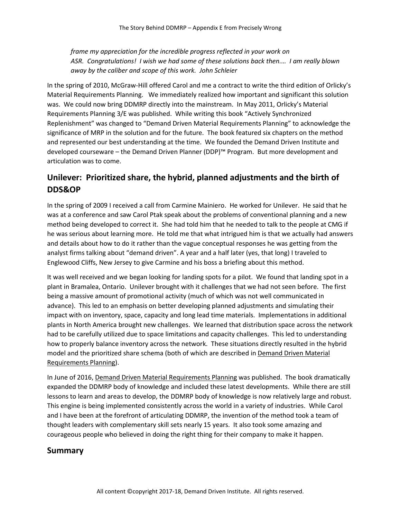*frame my appreciation for the incredible progress reflected in your work on ASR. Congratulations! I wish we had some of these solutions back then.… I am really blown away by the caliber and scope of this work. John Schleier*

In the spring of 2010, McGraw-Hill offered Carol and me a contract to write the third edition of Orlicky's Material Requirements Planning. We immediately realized how important and significant this solution was. We could now bring DDMRP directly into the mainstream. In May 2011, Orlicky's Material Requirements Planning 3/E was published. While writing this book "Actively Synchronized Replenishment" was changed to "Demand Driven Material Requirements Planning" to acknowledge the significance of MRP in the solution and for the future. The book featured six chapters on the method and represented our best understanding at the time. We founded the Demand Driven Institute and developed courseware – the Demand Driven Planner (DDP)™ Program. But more development and articulation was to come.

#### **Unilever: Prioritized share, the hybrid, planned adjustments and the birth of DDS&OP**

In the spring of 2009 I received a call from Carmine Mainiero. He worked for Unilever. He said that he was at a conference and saw Carol Ptak speak about the problems of conventional planning and a new method being developed to correct it. She had told him that he needed to talk to the people at CMG if he was serious about learning more. He told me that what intrigued him is that we actually had answers and details about how to do it rather than the vague conceptual responses he was getting from the analyst firms talking about "demand driven". A year and a half later (yes, that long) I traveled to Englewood Cliffs, New Jersey to give Carmine and his boss a briefing about this method.

It was well received and we began looking for landing spots for a pilot. We found that landing spot in a plant in Bramalea, Ontario. Unilever brought with it challenges that we had not seen before. The first being a massive amount of promotional activity (much of which was not well communicated in advance). This led to an emphasis on better developing planned adjustments and simulating their impact with on inventory, space, capacity and long lead time materials. Implementations in additional plants in North America brought new challenges. We learned that distribution space across the network had to be carefully utilized due to space limitations and capacity challenges. This led to understanding how to properly balance inventory across the network. These situations directly resulted in the hybrid model and the prioritized share schema (both of which are described in Demand Driven Material Requirements Planning).

In June of 2016, Demand Driven Material Requirements Planning was published. The book dramatically expanded the DDMRP body of knowledge and included these latest developments. While there are still lessons to learn and areas to develop, the DDMRP body of knowledge is now relatively large and robust. This engine is being implemented consistently across the world in a variety of industries. While Carol and I have been at the forefront of articulating DDMRP, the invention of the method took a team of thought leaders with complementary skill sets nearly 15 years. It also took some amazing and courageous people who believed in doing the right thing for their company to make it happen.

#### **Summary**